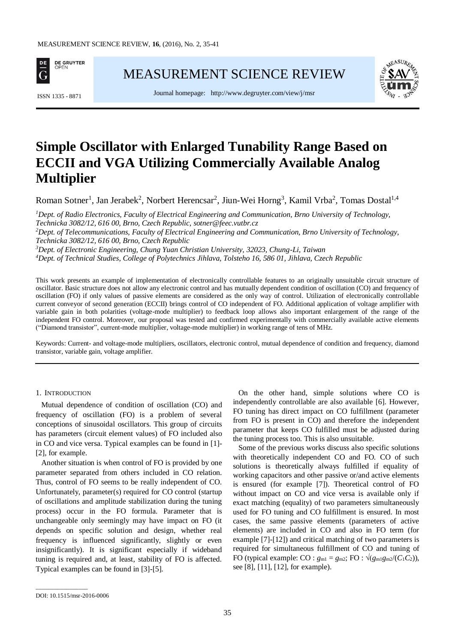

[MEASUREMENT SCIENCE REVIEW](http://www.measurement.sk/)

Journal homepage: <http://www.degruyter.com/view/j/msr> ISSN 1335 - <sup>8871</sup>



# **Simple Oscillator with Enlarged Tunability Range Based on ECCII and VGA Utilizing Commercially Available Analog Multiplier**

Roman Sotner<sup>1</sup>, Jan Jerabek<sup>2</sup>, Norbert Herencsar<sup>2</sup>, Jiun-Wei Horng<sup>3</sup>, Kamil Vrba<sup>2</sup>, Tomas Dostal<sup>1,4</sup>

*Dept. of Radio Electronics, Faculty of Electrical Engineering and Communication, Brno University of Technology, Technicka 3082/12, 616 00, Brno, Czech Republic, sotner@feec.vutbr.cz Dept. of Telecommunications, Faculty of Electrical Engineering and Communication, Brno University of Technology, Technicka 3082/12, 616 00, Brno, Czech Republic Dept. of Electronic Engineering, Chung Yuan Christian University, 32023, Chung-Li, Taiwan Dept. of Technical Studies, College of Polytechnics Jihlava, Tolsteho 16, 586 01, Jihlava, Czech Republic*

This work presents an example of implementation of electronically controllable features to an originally unsuitable circuit structure of oscillator. Basic structure does not allow any electronic control and has mutually dependent condition of oscillation (CO) and frequency of oscillation (FO) if only values of passive elements are considered as the only way of control. Utilization of electronically controllable current conveyor of second generation (ECCII) brings control of CO independent of FO. Additional application of voltage amplifier with variable gain in both polarities (voltage-mode multiplier) to feedback loop allows also important enlargement of the range of the independent FO control. Moreover, our proposal was tested and confirmed experimentally with commercially available active elements ("Diamond transistor", current-mode multiplier, voltage-mode multiplier) in working range of tens of MHz.

Keywords: Current- and voltage-mode multipliers, oscillators, electronic control, mutual dependence of condition and frequency, diamond transistor, variable gain, voltage amplifier.

## 1. INTRODUCTION

Mutual dependence of condition of oscillation (CO) and frequency of oscillation (FO) is a problem of several conceptions of sinusoidal oscillators. This group of circuits has parameters (circuit element values) of FO included also in CO and vice versa. Typical examples can be found in [1]- [2], for example.

Another situation is when control of FO is provided by one parameter separated from others included in CO relation. Thus, control of FO seems to be really independent of CO. Unfortunately, parameter(s) required for CO control (startup of oscillations and amplitude stabilization during the tuning process) occur in the FO formula. Parameter that is unchangeable only seemingly may have impact on FO (it depends on specific solution and design, whether real frequency is influenced significantly, slightly or even insignificantly). It is significant especially if wideband tuning is required and, at least, stability of FO is affected. Typical examples can be found in [3]-[5].

On the other hand, simple solutions where CO is independently controllable are also available [6]. However, FO tuning has direct impact on CO fulfillment (parameter from FO is present in CO) and therefore the independent parameter that keeps CO fulfilled must be adjusted during the tuning process too. This is also unsuitable.

Some of the previous works discuss also specific solutions with theoretically independent CO and FO. CO of such solutions is theoretically always fulfilled if equality of working capacitors and other passive or/and active elements is ensured (for example [7]). Theoretical control of FO without impact on CO and vice versa is available only if exact matching (equality) of two parameters simultaneously used for FO tuning and CO fulfillment is ensured. In most cases, the same passive elements (parameters of active elements) are included in CO and also in FO term (for example [7]-[12]) and critical matching of two parameters is required for simultaneous fulfillment of CO and tuning of FO (typical example: CO :  $g_{m1} = g_{m2}$ ; FO :  $\sqrt{(g_{m1}g_{m2}/(C_1C_2))}$ , see [8], [11], [12], for example).

\_\_\_\_\_\_\_\_\_\_\_\_\_\_\_\_\_

DOI: 10.1515/msr-2016-0006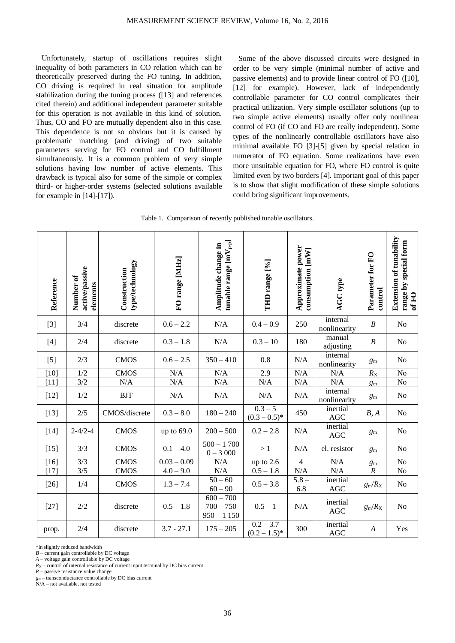Unfortunately, startup of oscillations requires slight inequality of both parameters in CO relation which can be theoretically preserved during the FO tuning. In addition, CO driving is required in real situation for amplitude stabilization during the tuning process ([13] and references cited therein) and additional independent parameter suitable for this operation is not available in this kind of solution. Thus, CO and FO are mutually dependent also in this case. This dependence is not so obvious but it is caused by problematic matching (and driving) of two suitable parameters serving for FO control and CO fulfillment simultaneously. It is a common problem of very simple solutions having low number of active elements. This drawback is typical also for some of the simple or complex third- or higher-order systems (selected solutions available for example in [14]-[17]).

Some of the above discussed circuits were designed in order to be very simple (minimal number of active and passive elements) and to provide linear control of FO ([10], [12] for example). However, lack of independently controllable parameter for CO control complicates their practical utilization. Very simple oscillator solutions (up to two simple active elements) usually offer only nonlinear control of FO (if CO and FO are really independent). Some types of the nonlinearly controllable oscillators have also minimal available FO [3]-[5] given by special relation in numerator of FO equation. Some realizations have even more unsuitable equation for FO, where FO control is quite limited even by two borders [4]. Important goal of this paper is to show that slight modification of these simple solutions could bring significant improvements.

|  |  | Table 1. Comparison of recently published tunable oscillators. |
|--|--|----------------------------------------------------------------|
|  |  |                                                                |

| Reference | active/passive<br>Number of<br>elements | type/technology<br>Construction | FO range [MHz] | tunable range $\text{[mV}_{\text{p-p}}\text{]}$<br>Amplitude change in | THD range [%]                  | Approximate power<br>consumption [mW] | AGC type                 | Parameter for FO<br>control | <b>Extension of tunability</b><br>range by special form<br>of FO |
|-----------|-----------------------------------------|---------------------------------|----------------|------------------------------------------------------------------------|--------------------------------|---------------------------------------|--------------------------|-----------------------------|------------------------------------------------------------------|
| $[3]$     | 3/4                                     | discrete                        | $0.6 - 2.2$    | $\rm N/A$                                                              | $0.4 - 0.9$                    | 250                                   | internal<br>nonlinearity | $\boldsymbol{B}$            | No                                                               |
| $[4]$     | 2/4                                     | discrete                        | $0.3 - 1.8$    | N/A                                                                    | $0.3 - 10$                     | 180                                   | manual<br>adjusting      | $\boldsymbol{B}$            | N <sub>o</sub>                                                   |
| $[5]$     | 2/3                                     | <b>CMOS</b>                     | $0.6 - 2.5$    | $350 - 410$                                                            | 0.8                            | N/A                                   | internal<br>nonlinearity | $g_{\rm m}$                 | N <sub>o</sub>                                                   |
| [10]      | 1/2                                     | CMOS                            | N/A            | N/A                                                                    | 2.9                            | N/A                                   | N/A                      | $R_{\rm X}$                 | $\overline{No}$                                                  |
| $[11]$    | 3/2                                     | N/A                             | N/A            | N/A                                                                    | N/A                            | N/A                                   | N/A                      | $g_{\rm m}$                 | No                                                               |
| $[12]$    | 1/2                                     | <b>BJT</b>                      | N/A            | N/A                                                                    | $\rm N/A$                      | N/A                                   | internal<br>nonlinearity | $g_{\rm m}$                 | N <sub>o</sub>                                                   |
| $[13]$    | 2/5                                     | CMOS/discrete                   | $0.3 - 8.0$    | $180 - 240$                                                            | $0.3 - 5$<br>$(0.3 - 0.5)^*$   | 450                                   | inertial<br>$\rm{AGC}$   | B, A                        | N <sub>o</sub>                                                   |
| $[14]$    | $2 - 4/2 - 4$                           | <b>CMOS</b>                     | up to $69.0$   | $200 - 500$                                                            | $0.2 - 2.8$                    | N/A                                   | inertial<br><b>AGC</b>   | $g_{\rm m}$                 | No                                                               |
| $[15]$    | 3/3                                     | <b>CMOS</b>                     | $0.1 - 4.0$    | $500 - 1700$<br>$0 - 3000$                                             | >1                             | N/A                                   | el. resistor             | $g_{\rm m}$                 | No                                                               |
| $[16]$    | 3/3                                     | <b>CMOS</b>                     | $0.03 - 0.09$  | N/A                                                                    | up to 2.6                      | $\overline{4}$                        | N/A                      | $g_{\rm m}$                 | No                                                               |
| $[17]$    | 3/5                                     | <b>CMOS</b>                     | $4.0 - 9.0$    | N/A                                                                    | $0.5 - 1.8$                    | N/A                                   | N/A                      | $\overline{R}$              | $\overline{No}$                                                  |
| $[26]$    | 1/4                                     | <b>CMOS</b>                     | $1.3 - 7.4$    | $50 - 60$<br>$60 - 90$                                                 | $0.5 - 3.8$                    | $5.8 -$<br>6.8                        | inertial<br>$\rm{AGC}$   | $g_{\rm m}/R_{\rm X}$       | N <sub>o</sub>                                                   |
| $[27]$    | 2/2                                     | discrete                        | $0.5 - 1.8$    | $600 - 700$<br>$700 - 750$<br>$950 - 1150$                             | $0.5 - 1$                      | $\rm N/A$                             | inertial<br>AGC          | $g_{\rm m}/R_{\rm X}$       | No                                                               |
| prop.     | $2/4$                                   | discrete                        | $3.7 - 27.1$   | $175 - 205$                                                            | $0.2 - 3.7$<br>$(0.2 - 1.5)^*$ | 300                                   | inertial<br>AGC          | $\boldsymbol{A}$            | Yes                                                              |

\*in slightly reduced bandwidth

 $B$  – current gain controllable by DC voltage

*A* – voltage gain controllable by DC voltage

 $R_X$  – control of internal resistance of current input terminal by DC bias current

*R* – passive resistance value change

 $g_m$  – transconductance controllable by DC bias current

N/A – not available, not tested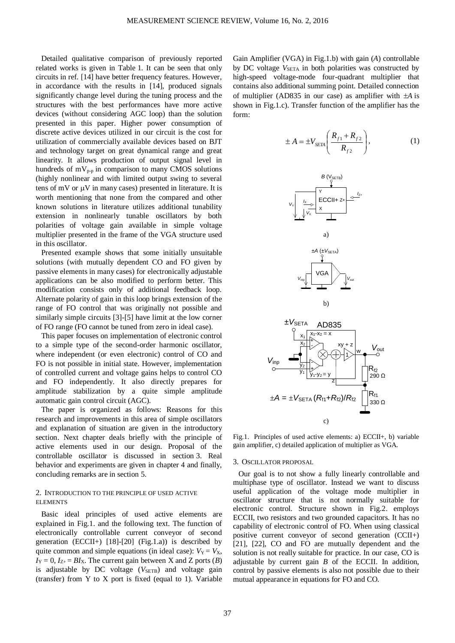Detailed qualitative comparison of previously reported related works is given in Table 1. It can be seen that only circuits in ref. [14] have better frequency features. However, in accordance with the results in [14], produced signals significantly change level during the tuning process and the structures with the best performances have more active devices (without considering AGC loop) than the solution presented in this paper. Higher power consumption of discrete active devices utilized in our circuit is the cost for utilization of commercially available devices based on BJT and technology target on great dynamical range and great linearity. It allows production of output signal level in hundreds of  $mV_{p-p}$  in comparison to many CMOS solutions (highly nonlinear and with limited output swing to several tens of mV or  $\mu$ V in many cases) presented in literature. It is worth mentioning that none from the compared and other known solutions in literature utilizes additional tunability extension in nonlinearly tunable oscillators by both polarities of voltage gain available in simple voltage multiplier presented in the frame of the VGA structure used in this oscillator.

Presented example shows that some initially unsuitable solutions (with mutually dependent CO and FO given by passive elements in many cases) for electronically adjustable applications can be also modified to perform better. This modification consists only of additional feedback loop. Alternate polarity of gain in this loop brings extension of the range of FO control that was originally not possible and similarly simple circuits [3]-[5] have limit at the low corner of FO range (FO cannot be tuned from zero in ideal case).

This paper focuses on implementation of electronic control to a simple type of the second-order harmonic oscillator, where independent (or even electronic) control of CO and FO is not possible in initial state. However, implementation of controlled current and voltage gains helps to control CO and FO independently. It also directly prepares for amplitude stabilization by a quite simple amplitude automatic gain control circuit (AGC).

The paper is organized as follows: Reasons for this research and improvements in this area of simple oscillators and explanation of situation are given in the introductory section. Next chapter deals briefly with the principle of active elements used in our design. Proposal of the controllable oscillator is discussed in section 3. Real behavior and experiments are given in chapter 4 and finally, concluding remarks are in section 5.

# 2. INTRODUCTION TO THE PRINCIPLE OF USED ACTIVE **ELEMENTS**

Basic ideal principles of used active elements are explained in Fig.1. and the following text. The function of electronically controllable current conveyor of second generation (ECCII+)  $[18]$ - $[20]$  (Fig.1.a)) is described by quite common and simple equations (in ideal case):  $V_Y = V_X$ ,  $I_Y = 0$ ,  $I_{Z+} = BI_X$ . The current gain between X and Z ports (*B*) is adjustable by DC voltage  $(V_{\text{SETB}})$  and voltage gain (transfer) from Y to X port is fixed (equal to 1). Variable

Gain Amplifier (VGA) in Fig.1.b) with gain (*A*) controllable by DC voltage  $V_{\text{SETA}}$  in both polarities was constructed by high-speed voltage-mode four-quadrant multiplier that contains also additional summing point. Detailed connection of multiplier (AD835 in our case) as amplifier with  $\pm A$  is shown in Fig.1.c). Transfer function of the amplifier has the form:

$$
\pm A = \pm V_{SETA} \left( \frac{R_{f1} + R_{f2}}{R_{f2}} \right), \tag{1}
$$



Fig.1. Principles of used active elements: a) ECCII+, b) variable gain amplifier, c) detailed application of multiplier as VGA.

c)

### 3. OSCILLATOR PROPOSAL

Our goal is to not show a fully linearly controllable and multiphase type of oscillator. Instead we want to discuss useful application of the voltage mode multiplier in oscillator structure that is not normally suitable for electronic control. Structure shown in Fig.2. employs ECCII, two resistors and two grounded capacitors. It has no capability of electronic control of FO. When using classical positive current conveyor of second generation (CCII+) [21], [22], CO and FO are mutually dependent and the solution is not really suitable for practice. In our case, CO is adjustable by current gain *B* of the ECCII. In addition, control by passive elements is also not possible due to their mutual appearance in equations for FO and CO.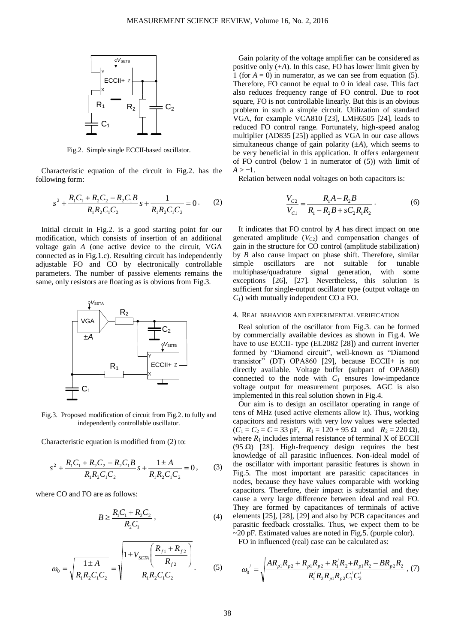

Fig.2. Simple single ECCII-based oscillator.

Characteristic equation of the circuit in Fig.2. has the following form:

$$
s^{2} + \frac{R_{1}C_{1} + R_{2}C_{2} - R_{2}C_{1}B}{R_{1}R_{2}C_{1}C_{2}}s + \frac{1}{R_{1}R_{2}C_{1}C_{2}} = 0.
$$
 (2)

Initial circuit in Fig.2. is a good starting point for our modification, which consists of insertion of an additional voltage gain *A* (one active device to the circuit, VGA connected as in Fig.1.c). Resulting circuit has independently adjustable FO and CO by electronically controllable parameters. The number of passive elements remains the same, only resistors are floating as is obvious from Fig.3.



Fig.3. Proposed modification of circuit from Fig.2. to fully and independently controllable oscillator.

Characteristic equation is modified from (2) to:

$$
s^{2} + \frac{R_{1}C_{1} + R_{2}C_{2} - R_{2}C_{1}B}{R_{1}R_{2}C_{1}C_{2}}s + \frac{1 \pm A}{R_{1}R_{2}C_{1}C_{2}} = 0, \qquad (3)
$$

where CO and FO are as follows:

$$
B \ge \frac{R_1 C_1 + R_2 C_2}{R_2 C_1},
$$
\n(4)

$$
\omega_0 = \sqrt{\frac{1 \pm A}{R_1 R_2 C_1 C_2}} = \sqrt{\frac{1 \pm V_{\text{SETA}} \left(\frac{R_{f1} + R_{f2}}{R_{f2}}\right)}{R_1 R_2 C_1 C_2}}.
$$
 (5)

Gain polarity of the voltage amplifier can be considered as positive only  $(+A)$ . In this case, FO has lower limit given by 1 (for  $A = 0$ ) in numerator, as we can see from equation (5). Therefore, FO cannot be equal to 0 in ideal case. This fact also reduces frequency range of FO control. Due to root square, FO is not controllable linearly. But this is an obvious problem in such a simple circuit. Utilization of standard VGA, for example VCA810 [23], LMH6505 [24], leads to reduced FO control range. Fortunately, high-speed analog multiplier (AD835 [25]) applied as VGA in our case allows simultaneous change of gain polarity (±*A*), which seems to be very beneficial in this application. It offers enlargement of FO control (below 1 in numerator of (5)) with limit of  $A > -1$ .

Relation between nodal voltages on both capacitors is:

$$
\frac{V_{C2}}{V_{C1}} = \frac{R_1 A - R_2 B}{R_1 - R_2 B + s C_2 R_1 R_2}.
$$
 (6)

It indicates that FO control by *A* has direct impact on one generated amplitude  $(V_{C2})$  and compensation changes of gain in the structure for CO control (amplitude stabilization) by *B* also cause impact on phase shift. Therefore, similar simple oscillators are not suitable for tunable multiphase/quadrature signal generation, with some exceptions [26], [27]. Nevertheless, this solution is sufficient for single-output oscillator type (output voltage on *C*1) with mutually independent CO a FO.

## 4. REAL BEHAVIOR AND EXPERIMENTAL VERIFICATION

Real solution of the oscillator from Fig.3. can be formed by commercially available devices as shown in Fig.4. We have to use ECCII- type (EL2082 [28]) and current inverter formed by "Diamond circuit", well-known as "Diamond transistor" (DT) OPA860 [29], because ECCII+ is not directly available. Voltage buffer (subpart of OPA860) connected to the node with  $C_1$  ensures low-impedance voltage output for measurement purposes. AGC is also implemented in this real solution shown in Fig.4.

Our aim is to design an oscillator operating in range of tens of MHz (used active elements allow it). Thus, working capacitors and resistors with very low values were selected  $(C_1 = C_2 = C = 33 \text{ pF}, R_1 = 120 + 95 \Omega \text{ and } R_2 = 220 \Omega$ ), where  $R_1$  includes internal resistance of terminal X of ECCII (95 Ω) [28]. High-frequency design requires the best knowledge of all parasitic influences. Non-ideal model of the oscillator with important parasitic features is shown in Fig.5. The most important are parasitic capacitances in nodes, because they have values comparable with working capacitors. Therefore, their impact is substantial and they cause a very large difference between ideal and real FO. They are formed by capacitances of terminals of active elements [25], [28], [29] and also by PCB capacitances and parasitic feedback crosstalks. Thus, we expect them to be  $\sim$ 20 pF. Estimated values are noted in Fig.5. (purple color). FO in influenced (real) case can be calculated as:

$$
\omega_0' = \sqrt{\frac{AR_{p1}R_{p2} + R_{p1}R_{p2} + R_1'R_2 + R_{p1}R_2 - BR_{p2}R_2}{R_1'R_2R_{p1}R_{p2}C_1'C_2'}}
$$
 (7)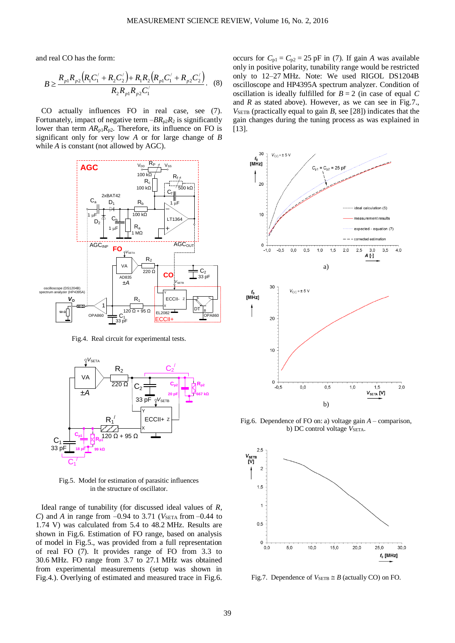and real CO has the form:

$$
B \ge \frac{R_{p1}R_{p2}\left(R_1C_1' + R_2C_2'\right) + R_1R_2\left(R_{p1}C_1' + R_{p2}C_2'\right)}{R_2R_{p1}R_{p2}C_1'}.
$$
 (8)

CO actually influences FO in real case, see (7). Fortunately, impact of negative term  $-BR_{p2}R_2$  is significantly lower than term  $AR_{p1}R_{p2}$ . Therefore, its influence on FO is significant only for very low *A* or for large change of *B* while *A* is constant (not allowed by AGC).



Fig.4. Real circuit for experimental tests.



Fig.5. Model for estimation of parasitic influences in the structure of oscillator.

Ideal range of tunability (for discussed ideal values of *R*, *C*) and *A* in range from  $-0.94$  to 3.71 (*V<sub>SETA</sub>* from  $-0.44$  to 1.74 V) was calculated from 5.4 to 48.2 MHz. Results are shown in Fig.6. Estimation of FO range, based on analysis of model in Fig.5., was provided from a full representation of real FO (7). It provides range of FO from 3.3 to 30.6 MHz. FO range from 3.7 to 27.1 MHz was obtained from experimental measurements (setup was shown in Fig.4.). Overlying of estimated and measured trace in Fig.6.

occurs for  $C_{p1} = C_{p2} = 25$  pF in (7). If gain *A* was available only in positive polarity, tunability range would be restricted only to 12–27 MHz. Note: We used RIGOL DS1204B oscilloscope and HP4395A spectrum analyzer. Condition of oscillation is ideally fulfilled for  $B = 2$  (in case of equal C and *R* as stated above). However, as we can see in Fig.7.,  $V_{\text{SETB}}$  (practically equal to gain *B*, see [28]) indicates that the gain changes during the tuning process as was explained in [13].



Fig.6. Dependence of FO on: a) voltage gain *A* – comparison, b) DC control voltage  $V<sub>SETA</sub>$ .



Fig.7. Dependence of  $V_{\text{SETB}} \cong B$  (actually CO) on FO.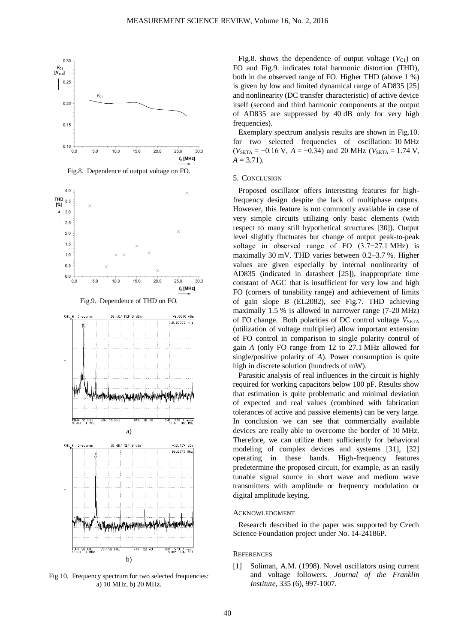

Fig.8. Dependence of output voltage on FO.



Fig.9. Dependence of THD on FO.



Fig.10. Frequency spectrum for two selected frequencies: a) 10 MHz, b) 20 MHz.

Fig.8. shows the dependence of output voltage  $(V_{C1})$  on FO and Fig.9. indicates total harmonic distortion (THD), both in the observed range of FO. Higher THD (above 1 %) is given by low and limited dynamical range of AD835 [25] and nonlinearity (DC transfer characteristic) of active device itself (second and third harmonic components at the output of AD835 are suppressed by 40 dB only for very high frequencies).

Exemplary spectrum analysis results are shown in Fig.10. for two selected frequencies of oscillation: 10 MHz  $(V_{\text{SETA}} = -0.16 \text{ V}, A = -0.34)$  and 20 MHz ( $V_{\text{SETA}} = 1.74 \text{ V},$  $A = 3.71$ .

#### 5. CONCLUSION

Proposed oscillator offers interesting features for highfrequency design despite the lack of multiphase outputs. However, this feature is not commonly available in case of very simple circuits utilizing only basic elements (with respect to many still hypothetical structures [30]). Output level slightly fluctuates but change of output peak-to-peak voltage in observed range of FO (3.7−27.1 MHz) is maximally 30 mV. THD varies between 0.2–3.7 %. Higher values are given especially by internal nonlinearity of AD835 (indicated in datasheet [25]), inappropriate time constant of AGC that is insufficient for very low and high FO (corners of tunability range) and achievement of limits of gain slope *B* (EL2082), see Fig.7. THD achieving maximally 1.5 % is allowed in narrower range (7-20 MHz) of FO change. Both polarities of DC control voltage  $V_{\text{SETA}}$ (utilization of voltage multiplier) allow important extension of FO control in comparison to single polarity control of gain *A* (only FO range from 12 to 27.1 MHz allowed for single/positive polarity of *A*). Power consumption is quite high in discrete solution (hundreds of mW).

Parasitic analysis of real influences in the circuit is highly required for working capacitors below 100 pF. Results show that estimation is quite problematic and minimal deviation of expected and real values (combined with fabrication tolerances of active and passive elements) can be very large. In conclusion we can see that commercially available devices are really able to overcome the border of 10 MHz. Therefore, we can utilize them sufficiently for behavioral modeling of complex devices and systems [31], [32] operating in these bands. High-frequency features predetermine the proposed circuit, for example, as an easily tunable signal source in short wave and medium wave transmitters with amplitude or frequency modulation or digital amplitude keying.

#### ACKNOWLEDGMENT

Research described in the paper was supported by Czech Science Foundation project under No. 14-24186P.

#### **REFERENCES**

[1] Soliman, A.M. (1998). Novel oscillators using current and voltage followers. *Journal of the Franklin Institute*, 335 (6), 997-1007.